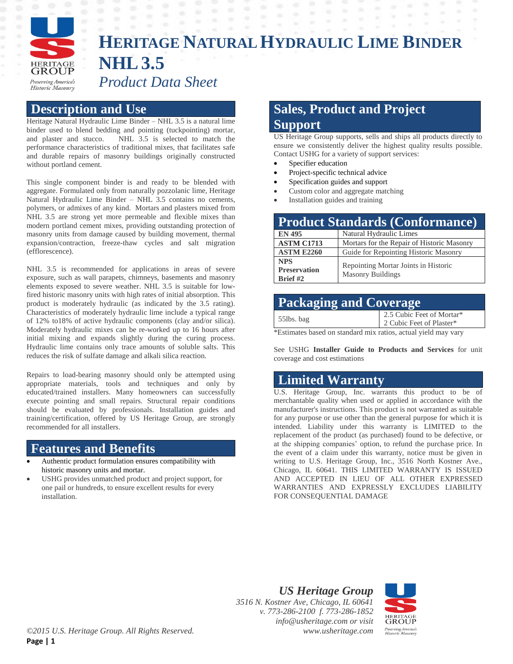

# **HERITAGE NATURALHYDRAULIC LIME BINDER NHL3.5** *Product Data Sheet*

#### **Description and Use**

Heritage Natural Hydraulic Lime Binder – NHL 3.5 is a natural lime binder used to blend bedding and pointing (tuckpointing) mortar, and plaster and stucco. NHL 3.5 is selected to match the performance characteristics of traditional mixes, that facilitates safe and durable repairs of masonry buildings originally constructed without portland cement.

This single component binder is and ready to be blended with aggregate. Formulated only from naturally pozzolanic lime, Heritage Natural Hydraulic Lime Binder – NHL 3.5 contains no cements, polymers, or admixes of any kind. Mortars and plasters mixed from NHL 3.5 are strong yet more permeable and flexible mixes than modern portland cement mixes, providing outstanding protection of masonry units from damage caused by building movement, thermal expansion/contraction, freeze-thaw cycles and salt migration (efflorescence).

NHL 3.5 is recommended for applications in areas of severe exposure, such as wall parapets, chimneys, basements and masonry elements exposed to severe weather. NHL 3.5 is suitable for lowfired historic masonry units with high rates of initial absorption. This product is moderately hydraulic (as indicated by the 3.5 rating). Characteristics of moderately hydraulic lime include a typical range of 12% to18% of active hydraulic components (clay and/or silica). Moderately hydraulic mixes can be re-worked up to 16 hours after initial mixing and expands slightly during the curing process. Hydraulic lime contains only trace amounts of soluble salts. This reduces the risk of sulfate damage and alkali silica reaction.

Repairs to load-bearing masonry should only be attempted using appropriate materials, tools and techniques and only by educated/trained installers. Many homeowners can successfully execute pointing and small repairs. Structural repair conditions should be evaluated by professionals. Installation guides and training/certification, offered by US Heritage Group, are strongly recommended for all installers.

#### **Features and Benefits**

- Authentic product formulation ensures compatibility with historic masonry units and mortar.
- USHG provides unmatched product and project support, for one pail or hundreds, to ensure excellent results for every installation.

# **Sales, Product and Project Support**

US Heritage Group supports, sells and ships all products directly to ensure we consistently deliver the highest quality results possible. Contact USHG for a variety of support services:

- Specifier education
- Project-specific technical advice
- Specification guides and support
- Custom color and aggregate matching
- Installation guides and training

| <b>Product Standards (Conformance)</b>          |                                                                  |
|-------------------------------------------------|------------------------------------------------------------------|
| <b>EN 495</b>                                   | Natural Hydraulic Limes                                          |
| <b>ASTM C1713</b>                               | Mortars for the Repair of Historic Masonry                       |
| <b>ASTM E2260</b>                               | Guide for Repointing Historic Masonry                            |
| <b>NPS</b><br><b>Preservation</b><br>Brief $#2$ | Repointing Mortar Joints in Historic<br><b>Masonry Buildings</b> |

| <b>Packaging and Coverage</b> |                                                       |  |
|-------------------------------|-------------------------------------------------------|--|
| 55lbs. bag                    | 2.5 Cubic Feet of Mortar*<br>2 Cubic Feet of Plaster* |  |

\*Estimates based on standard mix ratios, actual yield may vary

See USHG **Installer Guide to Products and Services** for unit coverage and cost estimations

### **Limited Warranty**

U.S. Heritage Group, Inc. warrants this product to be of merchantable quality when used or applied in accordance with the manufacturer's instructions. This product is not warranted as suitable for any purpose or use other than the general purpose for which it is intended. Liability under this warranty is LIMITED to the replacement of the product (as purchased) found to be defective, or at the shipping companies' option, to refund the purchase price. In the event of a claim under this warranty, notice must be given in writing to U.S. Heritage Group, Inc., 3516 North Kostner Ave., Chicago, IL 60641. THIS LIMITED WARRANTY IS ISSUED AND ACCEPTED IN LIEU OF ALL OTHER EXPRESSED WARRANTIES AND EXPRESSLY EXCLUDES LIABILITY FOR CONSEQUENTIAL DAMAGE

*US Heritage Group 3516 N. Kostner Ave, Chicago, IL 60641 v. 773-286-2100 f. 773-286-1852 info@usheritage.com or visit www.usheritage.com*